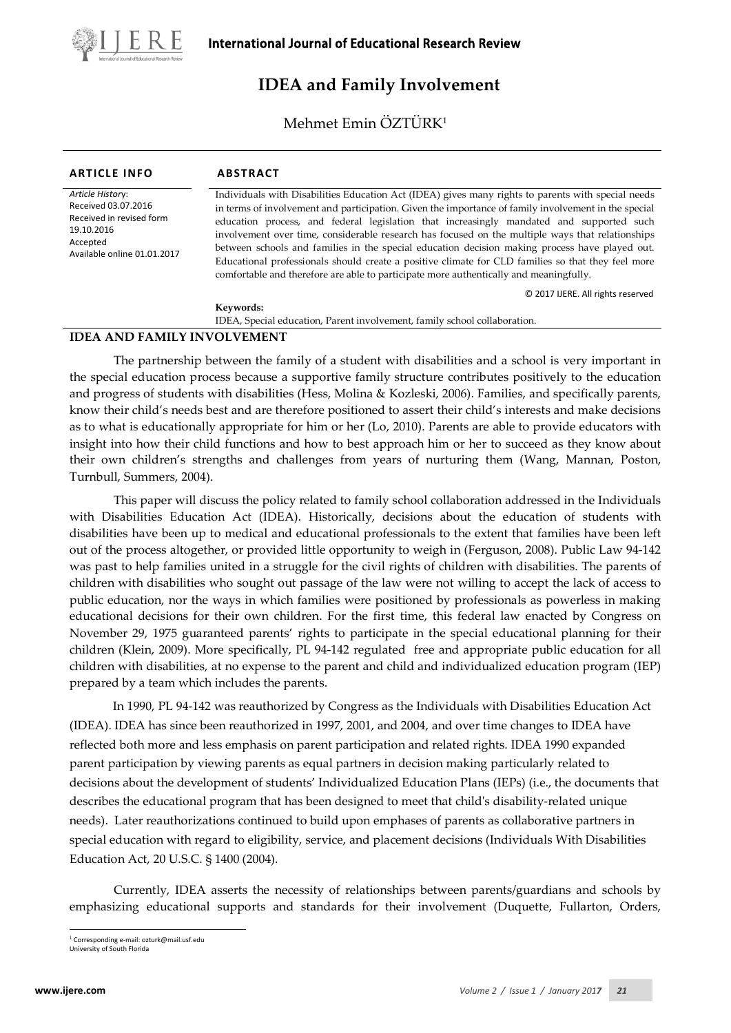

# **IDEA and Family Involvement**

Mehmet Emin ÖZTÜRK1

| <b>ARTICLE INFO</b>                                                                                                          | <b>ABSTRACT</b>                                                                                                                                                                                                                                                                                                                                                                                                                                                                                                                                                                                                                                                                                              |
|------------------------------------------------------------------------------------------------------------------------------|--------------------------------------------------------------------------------------------------------------------------------------------------------------------------------------------------------------------------------------------------------------------------------------------------------------------------------------------------------------------------------------------------------------------------------------------------------------------------------------------------------------------------------------------------------------------------------------------------------------------------------------------------------------------------------------------------------------|
| Article History:<br>Received 03.07.2016<br>Received in revised form<br>19.10.2016<br>Accepted<br>Available online 01.01.2017 | Individuals with Disabilities Education Act (IDEA) gives many rights to parents with special needs<br>in terms of involvement and participation. Given the importance of family involvement in the special<br>education process, and federal legislation that increasingly mandated and supported such<br>involvement over time, considerable research has focused on the multiple ways that relationships<br>between schools and families in the special education decision making process have played out.<br>Educational professionals should create a positive climate for CLD families so that they feel more<br>comfortable and therefore are able to participate more authentically and meaningfully. |
|                                                                                                                              | C 2017 IJERE. All rights reserved<br>Keywords:                                                                                                                                                                                                                                                                                                                                                                                                                                                                                                                                                                                                                                                               |

IDEA, Special education, Parent involvement, family school collaboration.

## **IDEA AND FAMILY INVOLVEMENT**

The partnership between the family of a student with disabilities and a school is very important in the special education process because a supportive family structure contributes positively to the education and progress of students with disabilities (Hess, Molina & Kozleski, 2006). Families, and specifically parents, know their child's needs best and are therefore positioned to assert their child's interests and make decisions as to what is educationally appropriate for him or her (Lo, 2010). Parents are able to provide educators with insight into how their child functions and how to best approach him or her to succeed as they know about their own children's strengths and challenges from years of nurturing them (Wang, Mannan, Poston, Turnbull, Summers, 2004).

This paper will discuss the policy related to family school collaboration addressed in the Individuals with Disabilities Education Act (IDEA). Historically, decisions about the education of students with disabilities have been up to medical and educational professionals to the extent that families have been left out of the process altogether, or provided little opportunity to weigh in (Ferguson, 2008). Public Law 94-142 was past to help families united in a struggle for the civil rights of children with disabilities. The parents of children with disabilities who sought out passage of the law were not willing to accept the lack of access to public education, nor the ways in which families were positioned by professionals as powerless in making educational decisions for their own children. For the first time, this federal law enacted by Congress on November 29, 1975 guaranteed parents' rights to participate in the special educational planning for their children (Klein, 2009). More specifically, PL 94-142 regulated free and appropriate public education for all children with disabilities, at no expense to the parent and child and individualized education program (IEP) prepared by a team which includes the parents.

In 1990, PL 94-142 was reauthorized by Congress as the Individuals with Disabilities Education Act (IDEA). IDEA has since been reauthorized in 1997, 2001, and 2004, and over time changes to IDEA have reflected both more and less emphasis on parent participation and related rights. IDEA 1990 expanded parent participation by viewing parents as equal partners in decision making particularly related to decisions about the development of students' Individualized Education Plans (IEPs) (i.e., the documents that describes the educational program that has been designed to meet that child's disability-related unique needs). Later reauthorizations continued to build upon emphases of parents as collaborative partners in special education with regard to eligibility, service, and placement decisions (Individuals With Disabilities Education Act, 20 U.S.C. § 1400 (2004).

Currently, IDEA asserts the necessity of relationships between parents/guardians and schools by emphasizing educational supports and standards for their involvement (Duquette, Fullarton, Orders,

<span id="page-0-0"></span><sup>1</sup> Corresponding e-mail: ozturk@mail.usf.edu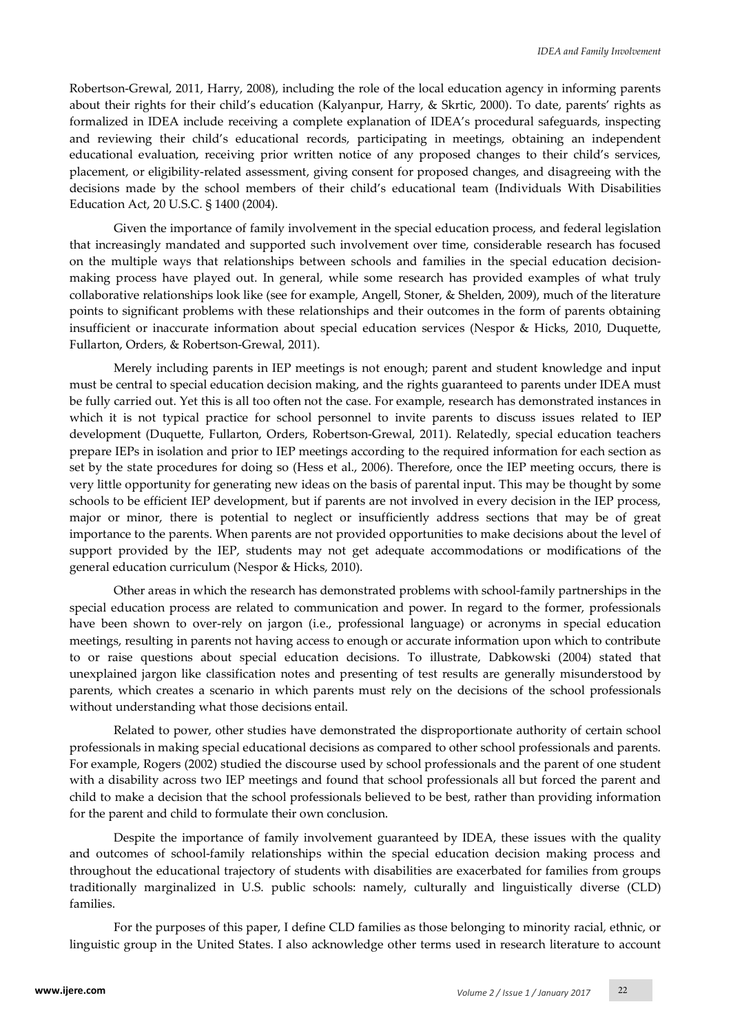Robertson-Grewal, 2011, Harry, 2008), including the role of the local education agency in informing parents about their rights for their child's education (Kalyanpur, Harry, & Skrtic, 2000). To date, parents' rights as formalized in IDEA include receiving a complete explanation of IDEA's procedural safeguards, inspecting and reviewing their child's educational records, participating in meetings, obtaining an independent educational evaluation, receiving prior written notice of any proposed changes to their child's services, placement, or eligibility-related assessment, giving consent for proposed changes, and disagreeing with the decisions made by the school members of their child's educational team (Individuals With Disabilities Education Act, 20 U.S.C. § 1400 (2004).

Given the importance of family involvement in the special education process, and federal legislation that increasingly mandated and supported such involvement over time, considerable research has focused on the multiple ways that relationships between schools and families in the special education decisionmaking process have played out. In general, while some research has provided examples of what truly collaborative relationships look like (see for example, Angell, Stoner, & Shelden, 2009), much of the literature points to significant problems with these relationships and their outcomes in the form of parents obtaining insufficient or inaccurate information about special education services (Nespor & Hicks, 2010, Duquette, Fullarton, Orders, & Robertson-Grewal, 2011).

Merely including parents in IEP meetings is not enough; parent and student knowledge and input must be central to special education decision making, and the rights guaranteed to parents under IDEA must be fully carried out. Yet this is all too often not the case. For example, research has demonstrated instances in which it is not typical practice for school personnel to invite parents to discuss issues related to IEP development (Duquette, Fullarton, Orders, Robertson-Grewal, 2011). Relatedly, special education teachers prepare IEPs in isolation and prior to IEP meetings according to the required information for each section as set by the state procedures for doing so (Hess et al., 2006). Therefore, once the IEP meeting occurs, there is very little opportunity for generating new ideas on the basis of parental input. This may be thought by some schools to be efficient IEP development, but if parents are not involved in every decision in the IEP process, major or minor, there is potential to neglect or insufficiently address sections that may be of great importance to the parents. When parents are not provided opportunities to make decisions about the level of support provided by the IEP, students may not get adequate accommodations or modifications of the general education curriculum (Nespor & Hicks, 2010).

Other areas in which the research has demonstrated problems with school-family partnerships in the special education process are related to communication and power. In regard to the former, professionals have been shown to over-rely on jargon (i.e., professional language) or acronyms in special education meetings, resulting in parents not having access to enough or accurate information upon which to contribute to or raise questions about special education decisions. To illustrate, Dabkowski (2004) stated that unexplained jargon like classification notes and presenting of test results are generally misunderstood by parents, which creates a scenario in which parents must rely on the decisions of the school professionals without understanding what those decisions entail.

Related to power, other studies have demonstrated the disproportionate authority of certain school professionals in making special educational decisions as compared to other school professionals and parents. For example, Rogers (2002) studied the discourse used by school professionals and the parent of one student with a disability across two IEP meetings and found that school professionals all but forced the parent and child to make a decision that the school professionals believed to be best, rather than providing information for the parent and child to formulate their own conclusion.

Despite the importance of family involvement guaranteed by IDEA, these issues with the quality and outcomes of school-family relationships within the special education decision making process and throughout the educational trajectory of students with disabilities are exacerbated for families from groups traditionally marginalized in U.S. public schools: namely, culturally and linguistically diverse (CLD) families.

For the purposes of this paper, I define CLD families as those belonging to minority racial, ethnic, or linguistic group in the United States. I also acknowledge other terms used in research literature to account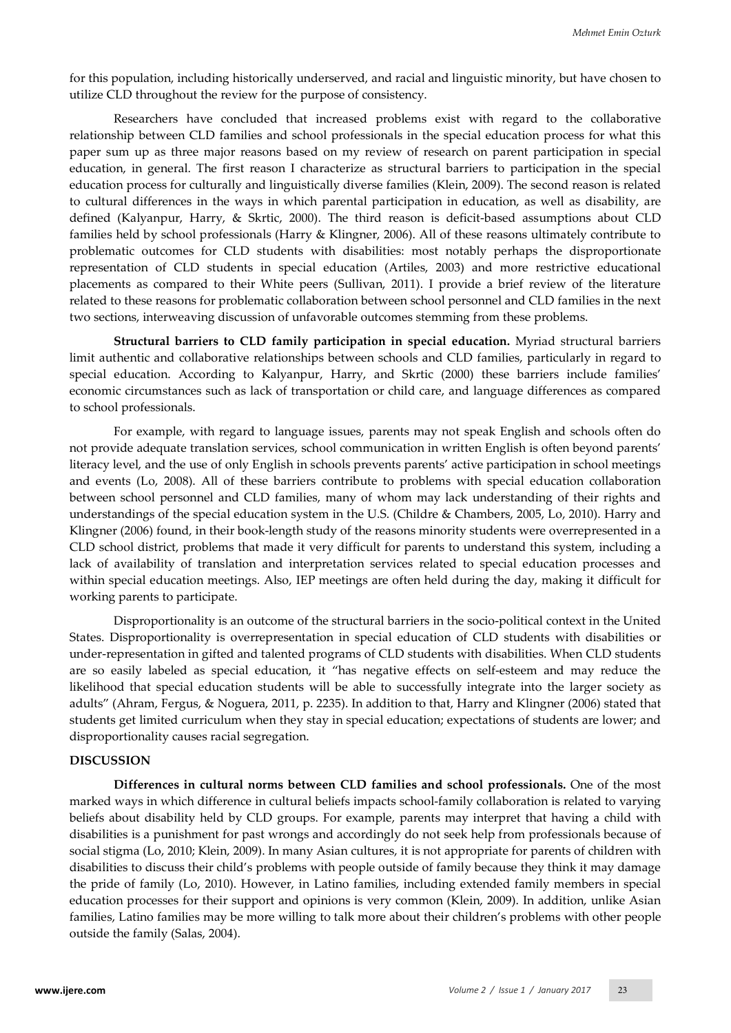for this population, including historically underserved, and racial and linguistic minority, but have chosen to utilize CLD throughout the review for the purpose of consistency.

Researchers have concluded that increased problems exist with regard to the collaborative relationship between CLD families and school professionals in the special education process for what this paper sum up as three major reasons based on my review of research on parent participation in special education, in general. The first reason I characterize as structural barriers to participation in the special education process for culturally and linguistically diverse families (Klein, 2009). The second reason is related to cultural differences in the ways in which parental participation in education, as well as disability, are defined (Kalyanpur, Harry, & Skrtic, 2000). The third reason is deficit-based assumptions about CLD families held by school professionals (Harry & Klingner, 2006). All of these reasons ultimately contribute to problematic outcomes for CLD students with disabilities: most notably perhaps the disproportionate representation of CLD students in special education (Artiles, 2003) and more restrictive educational placements as compared to their White peers (Sullivan, 2011). I provide a brief review of the literature related to these reasons for problematic collaboration between school personnel and CLD families in the next two sections, interweaving discussion of unfavorable outcomes stemming from these problems.

**Structural barriers to CLD family participation in special education.** Myriad structural barriers limit authentic and collaborative relationships between schools and CLD families, particularly in regard to special education. According to Kalyanpur, Harry, and Skrtic (2000) these barriers include families' economic circumstances such as lack of transportation or child care, and language differences as compared to school professionals.

For example, with regard to language issues, parents may not speak English and schools often do not provide adequate translation services, school communication in written English is often beyond parents' literacy level, and the use of only English in schools prevents parents' active participation in school meetings and events (Lo, 2008). All of these barriers contribute to problems with special education collaboration between school personnel and CLD families, many of whom may lack understanding of their rights and understandings of the special education system in the U.S. (Childre & Chambers, 2005, Lo, 2010). Harry and Klingner (2006) found, in their book-length study of the reasons minority students were overrepresented in a CLD school district, problems that made it very difficult for parents to understand this system, including a lack of availability of translation and interpretation services related to special education processes and within special education meetings. Also, IEP meetings are often held during the day, making it difficult for working parents to participate.

Disproportionality is an outcome of the structural barriers in the socio-political context in the United States. Disproportionality is overrepresentation in special education of CLD students with disabilities or under-representation in gifted and talented programs of CLD students with disabilities. When CLD students are so easily labeled as special education, it "has negative effects on self-esteem and may reduce the likelihood that special education students will be able to successfully integrate into the larger society as adults" (Ahram, Fergus, & Noguera, 2011, p. 2235). In addition to that, Harry and Klingner (2006) stated that students get limited curriculum when they stay in special education; expectations of students are lower; and disproportionality causes racial segregation.

#### **DISCUSSION**

**Differences in cultural norms between CLD families and school professionals.** One of the most marked ways in which difference in cultural beliefs impacts school-family collaboration is related to varying beliefs about disability held by CLD groups. For example, parents may interpret that having a child with disabilities is a punishment for past wrongs and accordingly do not seek help from professionals because of social stigma (Lo, 2010; Klein, 2009). In many Asian cultures, it is not appropriate for parents of children with disabilities to discuss their child's problems with people outside of family because they think it may damage the pride of family (Lo, 2010). However, in Latino families, including extended family members in special education processes for their support and opinions is very common (Klein, 2009). In addition, unlike Asian families, Latino families may be more willing to talk more about their children's problems with other people outside the family (Salas, 2004).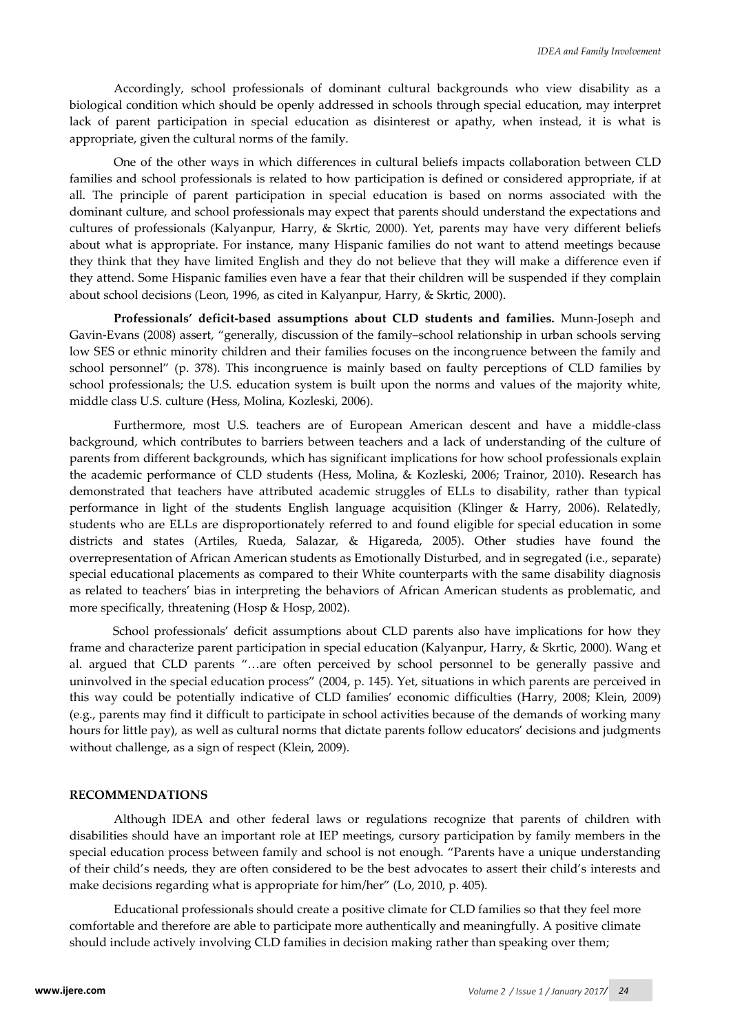Accordingly, school professionals of dominant cultural backgrounds who view disability as a biological condition which should be openly addressed in schools through special education, may interpret lack of parent participation in special education as disinterest or apathy, when instead, it is what is appropriate, given the cultural norms of the family.

One of the other ways in which differences in cultural beliefs impacts collaboration between CLD families and school professionals is related to how participation is defined or considered appropriate, if at all. The principle of parent participation in special education is based on norms associated with the dominant culture, and school professionals may expect that parents should understand the expectations and cultures of professionals (Kalyanpur, Harry, & Skrtic, 2000). Yet, parents may have very different beliefs about what is appropriate. For instance, many Hispanic families do not want to attend meetings because they think that they have limited English and they do not believe that they will make a difference even if they attend. Some Hispanic families even have a fear that their children will be suspended if they complain about school decisions (Leon, 1996, as cited in Kalyanpur, Harry, & Skrtic, 2000).

**Professionals' deficit-based assumptions about CLD students and families.** Munn-Joseph and Gavin-Evans (2008) assert, "generally, discussion of the family–school relationship in urban schools serving low SES or ethnic minority children and their families focuses on the incongruence between the family and school personnel" (p. 378). This incongruence is mainly based on faulty perceptions of CLD families by school professionals; the U.S. education system is built upon the norms and values of the majority white, middle class U.S. culture (Hess, Molina, Kozleski, 2006).

Furthermore, most U.S. teachers are of European American descent and have a middle-class background, which contributes to barriers between teachers and a lack of understanding of the culture of parents from different backgrounds, which has significant implications for how school professionals explain the academic performance of CLD students (Hess, Molina, & Kozleski, 2006; Trainor, 2010). Research has demonstrated that teachers have attributed academic struggles of ELLs to disability, rather than typical performance in light of the students English language acquisition (Klinger & Harry, 2006). Relatedly, students who are ELLs are disproportionately referred to and found eligible for special education in some districts and states (Artiles, Rueda, Salazar, & Higareda, 2005). Other studies have found the overrepresentation of African American students as Emotionally Disturbed, and in segregated (i.e., separate) special educational placements as compared to their White counterparts with the same disability diagnosis as related to teachers' bias in interpreting the behaviors of African American students as problematic, and more specifically, threatening (Hosp & Hosp, 2002).

 School professionals' deficit assumptions about CLD parents also have implications for how they frame and characterize parent participation in special education (Kalyanpur, Harry, & Skrtic, 2000). Wang et al. argued that CLD parents "…are often perceived by school personnel to be generally passive and uninvolved in the special education process" (2004, p. 145). Yet, situations in which parents are perceived in this way could be potentially indicative of CLD families' economic difficulties (Harry, 2008; Klein, 2009) (e.g., parents may find it difficult to participate in school activities because of the demands of working many hours for little pay), as well as cultural norms that dictate parents follow educators' decisions and judgments without challenge, as a sign of respect (Klein, 2009).

#### **RECOMMENDATIONS**

Although IDEA and other federal laws or regulations recognize that parents of children with disabilities should have an important role at IEP meetings, cursory participation by family members in the special education process between family and school is not enough. "Parents have a unique understanding of their child's needs, they are often considered to be the best advocates to assert their child's interests and make decisions regarding what is appropriate for him/her" (Lo, 2010, p. 405).

Educational professionals should create a positive climate for CLD families so that they feel more comfortable and therefore are able to participate more authentically and meaningfully. A positive climate should include actively involving CLD families in decision making rather than speaking over them;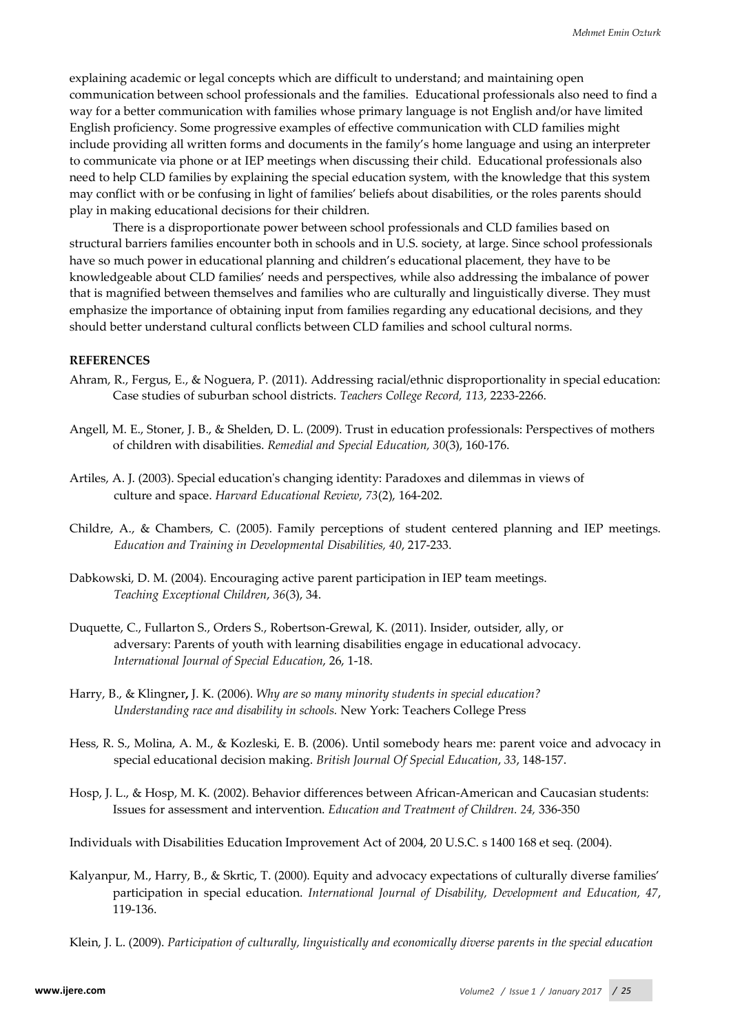explaining academic or legal concepts which are difficult to understand; and maintaining open communication between school professionals and the families. Educational professionals also need to find a way for a better communication with families whose primary language is not English and/or have limited English proficiency. Some progressive examples of effective communication with CLD families might include providing all written forms and documents in the family's home language and using an interpreter to communicate via phone or at IEP meetings when discussing their child. Educational professionals also need to help CLD families by explaining the special education system, with the knowledge that this system may conflict with or be confusing in light of families' beliefs about disabilities, or the roles parents should play in making educational decisions for their children.

There is a disproportionate power between school professionals and CLD families based on structural barriers families encounter both in schools and in U.S. society, at large. Since school professionals have so much power in educational planning and children's educational placement, they have to be knowledgeable about CLD families' needs and perspectives, while also addressing the imbalance of power that is magnified between themselves and families who are culturally and linguistically diverse. They must emphasize the importance of obtaining input from families regarding any educational decisions, and they should better understand cultural conflicts between CLD families and school cultural norms.

### **REFERENCES**

- Ahram, R., Fergus, E., & Noguera, P. (2011). Addressing racial/ethnic disproportionality in special education: Case studies of suburban school districts. *Teachers College Record, 113*, 2233-2266.
- Angell, M. E., Stoner, J. B., & Shelden, D. L. (2009). Trust in education professionals: Perspectives of mothers of children with disabilities. *Remedial and Special Education, 30*(3), 160-176.
- Artiles, A. J. (2003). Special education's changing identity: Paradoxes and dilemmas in views of culture and space. *Harvard Educational Review*, *73*(2), 164-202.
- Childre, A., & Chambers, C. (2005). Family perceptions of student centered planning and IEP meetings. *Education and Training in Developmental Disabilities, 40*, 217-233.
- Dabkowski, D. M. (2004). Encouraging active parent participation in IEP team meetings. *Teaching Exceptional Children*, *36*(3), 34.
- Duquette, C., Fullarton S., Orders S., Robertson-Grewal, K. (2011). Insider, outsider, ally, or adversary: Parents of youth with learning disabilities engage in educational advocacy. *International Journal of Special Education*, 26, 1-18.
- Harry, B., & Klingner**,** J. K. (2006). *Why are so many minority students in special education? Understanding race and disability in schools.* New York: Teachers College Press
- Hess, R. S., Molina, A. M., & Kozleski, E. B. (2006). Until somebody hears me: parent voice and advocacy in special educational decision making. *British Journal Of Special Education*, *33*, 148-157.
- Hosp, J. L., & Hosp, M. K. (2002). Behavior differences between African-American and Caucasian students: Issues for assessment and intervention. *Education and Treatment of Children. 24,* 336-350

Individuals with Disabilities Education Improvement Act of 2004, 20 U.S.C. s 1400 168 et seq. (2004).

Kalyanpur, M., Harry, B., & Skrtic, T. (2000). Equity and advocacy expectations of culturally diverse families' participation in special education. *International Journal of Disability, Development and Education, 47*, 119-136.

Klein, J. L. (2009). *Participation of culturally, linguistically and economically diverse parents in the special education*